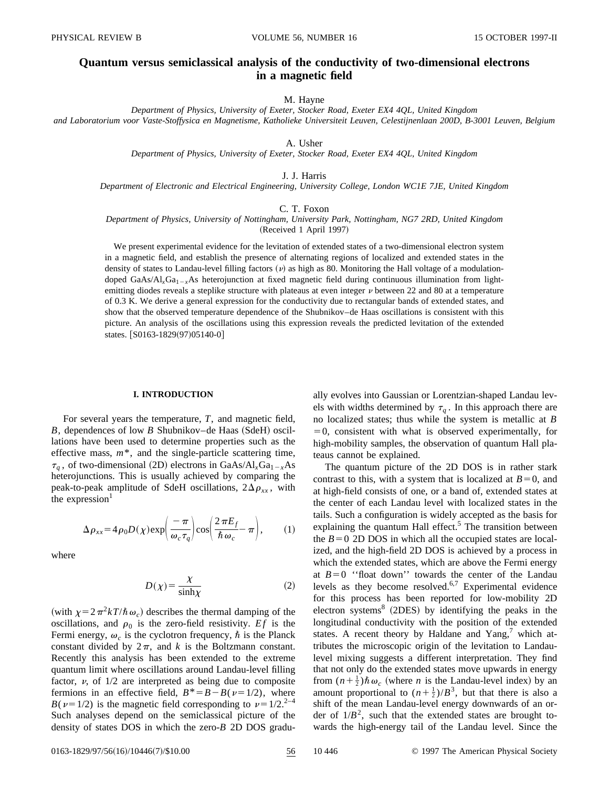# **Quantum versus semiclassical analysis of the conductivity of two-dimensional electrons in a magnetic field**

### M. Hayne

*Department of Physics, University of Exeter, Stocker Road, Exeter EX4 4QL, United Kingdom and Laboratorium voor Vaste-Stoffysica en Magnetisme, Katholieke Universiteit Leuven, Celestijnenlaan 200D, B-3001 Leuven, Belgium*

A. Usher

*Department of Physics, University of Exeter, Stocker Road, Exeter EX4 4QL, United Kingdom*

J. J. Harris

*Department of Electronic and Electrical Engineering, University College, London WC1E 7JE, United Kingdom*

C. T. Foxon

*Department of Physics, University of Nottingham, University Park, Nottingham, NG7 2RD, United Kingdom*

(Received 1 April 1997)

We present experimental evidence for the levitation of extended states of a two-dimensional electron system in a magnetic field, and establish the presence of alternating regions of localized and extended states in the density of states to Landau-level filling factors  $(v)$  as high as 80. Monitoring the Hall voltage of a modulationdoped GaAs/Al<sub>x</sub>Ga<sub>1-x</sub>As heterojunction at fixed magnetic field during continuous illumination from lightemitting diodes reveals a steplike structure with plateaus at even integer  $\nu$  between 22 and 80 at a temperature of 0.3 K. We derive a general expression for the conductivity due to rectangular bands of extended states, and show that the observed temperature dependence of the Shubnikov–de Haas oscillations is consistent with this picture. An analysis of the oscillations using this expression reveals the predicted levitation of the extended states. [S0163-1829(97)05140-0]

# **I. INTRODUCTION**

For several years the temperature, *T*, and magnetic field,  $B$ , dependences of low  $B$  Shubnikov–de Haas (SdeH) oscillations have been used to determine properties such as the effective mass, *m*\*, and the single-particle scattering time,  $\tau_a$ , of two-dimensional (2D) electrons in GaAs/Al<sub>x</sub>Ga<sub>1-x</sub>As heterojunctions. This is usually achieved by comparing the peak-to-peak amplitude of SdeH oscillations,  $2\Delta\rho_{xx}$ , with the expression $<sup>1</sup>$ </sup>

$$
\Delta \rho_{xx} = 4 \rho_0 D(\chi) \exp\left(\frac{-\pi}{\omega_c \tau_q}\right) \cos\left(\frac{2\pi E_f}{\hbar \omega_c} - \pi\right), \qquad (1)
$$

where

$$
D(\chi) = \frac{\chi}{\sinh \chi} \tag{2}
$$

(with  $\chi=2\pi^2kT/\hbar\omega_c$ ) describes the thermal damping of the oscillations, and  $\rho_0$  is the zero-field resistivity. *Ef* is the Fermi energy,  $\omega_c$  is the cyclotron frequency,  $\hbar$  is the Planck constant divided by  $2\pi$ , and *k* is the Boltzmann constant. Recently this analysis has been extended to the extreme quantum limit where oscillations around Landau-level filling factor,  $\nu$ , of  $1/2$  are interpreted as being due to composite fermions in an effective field,  $B^* = B - B(\nu = 1/2)$ , where  $B(v=1/2)$  is the magnetic field corresponding to  $v=1/2$ <sup>2–4</sup> Such analyses depend on the semiclassical picture of the density of states DOS in which the zero-*B* 2D DOS gradually evolves into Gaussian or Lorentzian-shaped Landau levels with widths determined by  $\tau_q$ . In this approach there are no localized states; thus while the system is metallic at *B*  $=0$ , consistent with what is observed experimentally, for high-mobility samples, the observation of quantum Hall plateaus cannot be explained.

The quantum picture of the 2D DOS is in rather stark contrast to this, with a system that is localized at  $B=0$ , and at high-field consists of one, or a band of, extended states at the center of each Landau level with localized states in the tails. Such a configuration is widely accepted as the basis for explaining the quantum Hall effect.<sup>5</sup> The transition between the  $B=0$  2D DOS in which all the occupied states are localized, and the high-field 2D DOS is achieved by a process in which the extended states, which are above the Fermi energy at  $B=0$  "float down" towards the center of the Landau levels as they become resolved. $6,7$  Experimental evidence for this process has been reported for low-mobility 2D electron systems<sup>8</sup> (2DES) by identifying the peaks in the longitudinal conductivity with the position of the extended states. A recent theory by Haldane and  $Yang<sub>1</sub><sup>7</sup>$  which attributes the microscopic origin of the levitation to Landaulevel mixing suggests a different interpretation. They find that not only do the extended states move upwards in energy from  $(n + \frac{1}{2})\hbar \omega_c$  (where *n* is the Landau-level index) by an amount proportional to  $(n+\frac{1}{2})/B^3$ , but that there is also a shift of the mean Landau-level energy downwards of an order of  $1/B^2$ , such that the extended states are brought towards the high-energy tail of the Landau level. Since the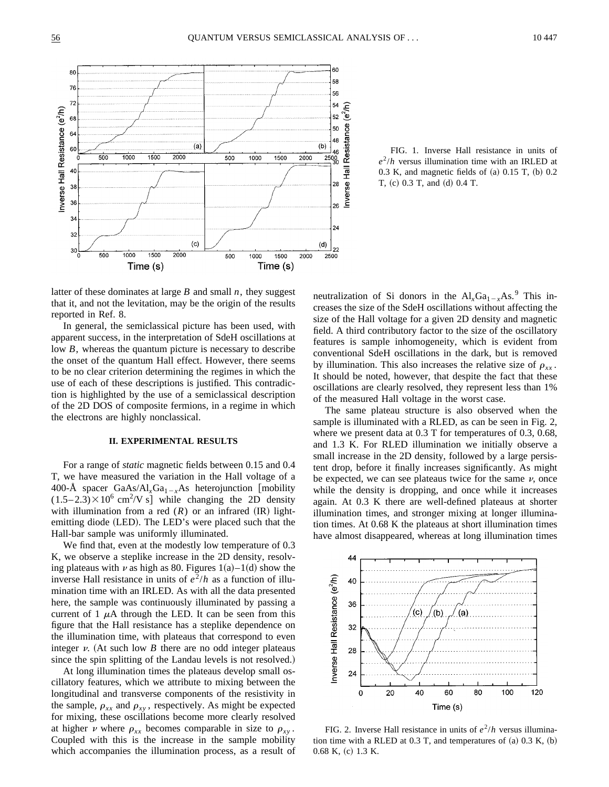

FIG. 1. Inverse Hall resistance in units of  $e^2/h$  versus illumination time with an IRLED at  $0.3$  K, and magnetic fields of  $(a)$   $0.15$  T,  $(b)$   $0.2$  $T, (c)$  0.3 T, and  $(d)$  0.4 T.

latter of these dominates at large *B* and small *n*, they suggest that it, and not the levitation, may be the origin of the results reported in Ref. 8.

In general, the semiclassical picture has been used, with apparent success, in the interpretation of SdeH oscillations at low *B*, whereas the quantum picture is necessary to describe the onset of the quantum Hall effect. However, there seems to be no clear criterion determining the regimes in which the use of each of these descriptions is justified. This contradiction is highlighted by the use of a semiclassical description of the 2D DOS of composite fermions, in a regime in which the electrons are highly nonclassical.

# **II. EXPERIMENTAL RESULTS**

For a range of *static* magnetic fields between 0.15 and 0.4 T, we have measured the variation in the Hall voltage of a 400-Å spacer GaAs/Al<sub>x</sub>Ga<sub>1-x</sub>As heterojunction [mobility  $(1.5-2.3)\times10^6$  cm<sup>2</sup>/V s] while changing the 2D density with illumination from a red  $(R)$  or an infrared  $(\text{IR})$  lightemitting diode (LED). The LED's were placed such that the Hall-bar sample was uniformly illuminated.

We find that, even at the modestly low temperature of 0.3 K, we observe a steplike increase in the 2D density, resolving plateaus with  $\nu$  as high as 80. Figures 1(a)–1(d) show the inverse Hall resistance in units of  $e^2/h$  as a function of illumination time with an IRLED. As with all the data presented here, the sample was continuously illuminated by passing a current of 1  $\mu$ A through the LED. It can be seen from this figure that the Hall resistance has a steplike dependence on the illumination time, with plateaus that correspond to even integer  $\nu$ . (At such low *B* there are no odd integer plateaus since the spin splitting of the Landau levels is not resolved.)

At long illumination times the plateaus develop small oscillatory features, which we attribute to mixing between the longitudinal and transverse components of the resistivity in the sample,  $\rho_{xx}$  and  $\rho_{xy}$ , respectively. As might be expected for mixing, these oscillations become more clearly resolved at higher *v* where  $\rho_{xx}$  becomes comparable in size to  $\rho_{xy}$ . Coupled with this is the increase in the sample mobility which accompanies the illumination process, as a result of

neutralization of Si donors in the  $Al_xGa_{1-x}As$ .<sup>9</sup> This increases the size of the SdeH oscillations without affecting the size of the Hall voltage for a given 2D density and magnetic field. A third contributory factor to the size of the oscillatory features is sample inhomogeneity, which is evident from conventional SdeH oscillations in the dark, but is removed by illumination. This also increases the relative size of  $\rho_{xx}$ . It should be noted, however, that despite the fact that these oscillations are clearly resolved, they represent less than 1% of the measured Hall voltage in the worst case.

The same plateau structure is also observed when the sample is illuminated with a RLED, as can be seen in Fig. 2, where we present data at 0.3 T for temperatures of 0.3, 0.68, and 1.3 K. For RLED illumination we initially observe a small increase in the 2D density, followed by a large persistent drop, before it finally increases significantly. As might be expected, we can see plateaus twice for the same  $\nu$ , once while the density is dropping, and once while it increases again. At 0.3 K there are well-defined plateaus at shorter illumination times, and stronger mixing at longer illumination times. At 0.68 K the plateaus at short illumination times have almost disappeared, whereas at long illumination times



FIG. 2. Inverse Hall resistance in units of  $e^2/h$  versus illumination time with a RLED at  $0.3$  T, and temperatures of  $(a)$   $0.3$  K,  $(b)$  $0.68$  K,  $(c)$  1.3 K.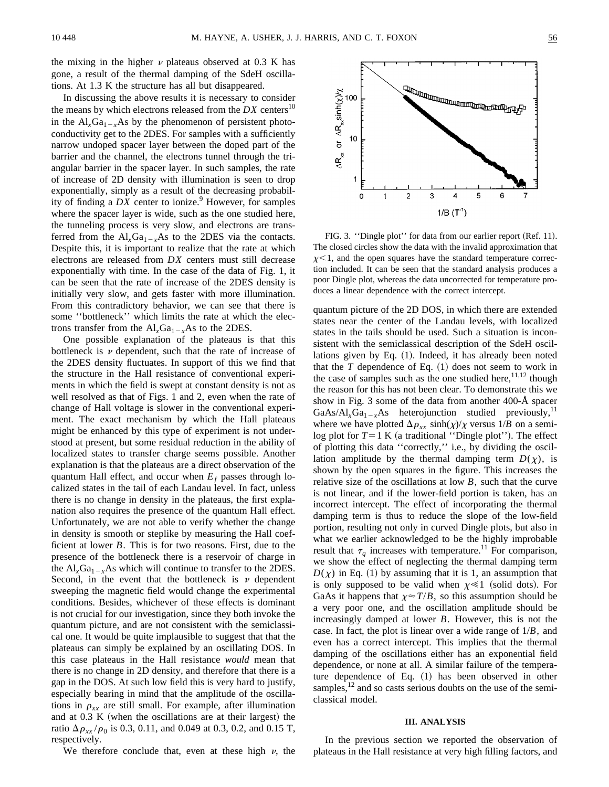the mixing in the higher  $\nu$  plateaus observed at 0.3 K has gone, a result of the thermal damping of the SdeH oscillations. At 1.3 K the structure has all but disappeared.

In discussing the above results it is necessary to consider the means by which electrons released from the  $DX$  centers<sup>10</sup> in the  $Al_xGa_{1-x}As$  by the phenomenon of persistent photoconductivity get to the 2DES. For samples with a sufficiently narrow undoped spacer layer between the doped part of the barrier and the channel, the electrons tunnel through the triangular barrier in the spacer layer. In such samples, the rate of increase of 2D density with illumination is seen to drop exponentially, simply as a result of the decreasing probability of finding a  $DX$  center to ionize.<sup>9</sup> However, for samples where the spacer layer is wide, such as the one studied here, the tunneling process is very slow, and electrons are transferred from the  $AI_xGa_{1-x}As$  to the 2DES via the contacts. Despite this, it is important to realize that the rate at which electrons are released from *DX* centers must still decrease exponentially with time. In the case of the data of Fig. 1, it can be seen that the rate of increase of the 2DES density is initially very slow, and gets faster with more illumination. From this contradictory behavior, we can see that there is some ''bottleneck'' which limits the rate at which the electrons transfer from the  $Al_xGa_{1-x}As$  to the 2DES.

One possible explanation of the plateaus is that this bottleneck is  $\nu$  dependent, such that the rate of increase of the 2DES density fluctuates. In support of this we find that the structure in the Hall resistance of conventional experiments in which the field is swept at constant density is not as well resolved as that of Figs. 1 and 2, even when the rate of change of Hall voltage is slower in the conventional experiment. The exact mechanism by which the Hall plateaus might be enhanced by this type of experiment is not understood at present, but some residual reduction in the ability of localized states to transfer charge seems possible. Another explanation is that the plateaus are a direct observation of the quantum Hall effect, and occur when  $E_f$  passes through localized states in the tail of each Landau level. In fact, unless there is no change in density in the plateaus, the first explanation also requires the presence of the quantum Hall effect. Unfortunately, we are not able to verify whether the change in density is smooth or steplike by measuring the Hall coefficient at lower *B*. This is for two reasons. First, due to the presence of the bottleneck there is a reservoir of charge in the  $Al_xGa_{1-x}As$  which will continue to transfer to the 2DES. Second, in the event that the bottleneck is  $\nu$  dependent sweeping the magnetic field would change the experimental conditions. Besides, whichever of these effects is dominant is not crucial for our investigation, since they both invoke the quantum picture, and are not consistent with the semiclassical one. It would be quite implausible to suggest that that the plateaus can simply be explained by an oscillating DOS. In this case plateaus in the Hall resistance *would* mean that there is no change in 2D density, and therefore that there is a gap in the DOS. At such low field this is very hard to justify, especially bearing in mind that the amplitude of the oscillations in  $\rho_{xx}$  are still small. For example, after illumination and at  $0.3 K$  (when the oscillations are at their largest) the ratio  $\Delta \rho_{xx}/\rho_0$  is 0.3, 0.11, and 0.049 at 0.3, 0.2, and 0.15 T, respectively.

We therefore conclude that, even at these high  $\nu$ , the



FIG. 3. "Dingle plot" for data from our earlier report (Ref. 11). The closed circles show the data with the invalid approximation that  $x$  < 1, and the open squares have the standard temperature correction included. It can be seen that the standard analysis produces a poor Dingle plot, whereas the data uncorrected for temperature produces a linear dependence with the correct intercept.

quantum picture of the 2D DOS, in which there are extended states near the center of the Landau levels, with localized states in the tails should be used. Such a situation is inconsistent with the semiclassical description of the SdeH oscillations given by Eq.  $(1)$ . Indeed, it has already been noted that the  $T$  dependence of Eq.  $(1)$  does not seem to work in the case of samples such as the one studied here,  $11,12$  though the reason for this has not been clear. To demonstrate this we show in Fig. 3 some of the data from another 400-Å spacer GaAs/Al<sub>*x*</sub>Ga<sub>1-*x*</sub>As heterojunction studied previously,<sup>11</sup> where we have plotted  $\Delta \rho_{xx}$  sinh( $\chi$ )/ $\chi$  versus 1/*B* on a semilog plot for  $T=1$  K (a traditional "Dingle plot"). The effect of plotting this data ''correctly,'' i.e., by dividing the oscillation amplitude by the thermal damping term  $D(\chi)$ , is shown by the open squares in the figure. This increases the relative size of the oscillations at low *B*, such that the curve is not linear, and if the lower-field portion is taken, has an incorrect intercept. The effect of incorporating the thermal damping term is thus to reduce the slope of the low-field portion, resulting not only in curved Dingle plots, but also in what we earlier acknowledged to be the highly improbable result that  $\tau_q$  increases with temperature.<sup>11</sup> For comparison, we show the effect of neglecting the thermal damping term  $D(\chi)$  in Eq. (1) by assuming that it is 1, an assumption that is only supposed to be valid when  $\chi \ll 1$  (solid dots). For GaAs it happens that  $\chi \approx T/B$ , so this assumption should be a very poor one, and the oscillation amplitude should be increasingly damped at lower *B*. However, this is not the case. In fact, the plot is linear over a wide range of 1/*B*, and even has a correct intercept. This implies that the thermal damping of the oscillations either has an exponential field dependence, or none at all. A similar failure of the temperature dependence of Eq.  $(1)$  has been observed in other samples, $12$  and so casts serious doubts on the use of the semiclassical model.

# **III. ANALYSIS**

In the previous section we reported the observation of plateaus in the Hall resistance at very high filling factors, and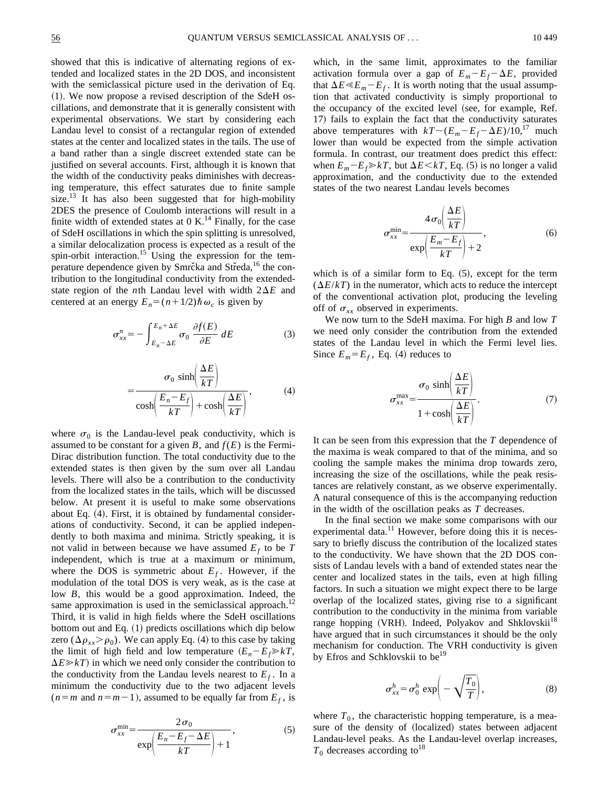showed that this is indicative of alternating regions of extended and localized states in the 2D DOS, and inconsistent with the semiclassical picture used in the derivation of Eq.  $(1)$ . We now propose a revised description of the SdeH oscillations, and demonstrate that it is generally consistent with experimental observations. We start by considering each Landau level to consist of a rectangular region of extended states at the center and localized states in the tails. The use of a band rather than a single discreet extended state can be justified on several accounts. First, although it is known that the width of the conductivity peaks diminishes with decreasing temperature, this effect saturates due to finite sample size. $^{13}$  It has also been suggested that for high-mobility 2DES the presence of Coulomb interactions will result in a finite width of extended states at  $0 \text{ K}$ .<sup>14</sup> Finally, for the case of SdeH oscillations in which the spin splitting is unresolved, a similar delocalization process is expected as a result of the spin-orbit interaction.<sup>15</sup> Using the expression for the temperature dependence given by Smrc̆ka and Str̃eda,<sup>16</sup> the contribution to the longitudinal conductivity from the extendedstate region of the *n*th Landau level with width  $2\Delta E$  and centered at an energy  $E_n = (n+1/2)\hbar \omega_c$  is given by

$$
\sigma_{xx}^{n} = -\int_{E_{n}-\Delta E}^{E_{n}+\Delta E} \sigma_{0} \frac{\partial f(E)}{\partial E} dE \qquad (3)
$$

$$
= \frac{\sigma_0 \sinh\left(\frac{\Delta E}{kT}\right)}{\cosh\left(\frac{E_n - E_f}{kT}\right) + \cosh\left(\frac{\Delta E}{kT}\right)},
$$
(4)

where  $\sigma_0$  is the Landau-level peak conductivity, which is assumed to be constant for a given *B*, and  $f(E)$  is the Fermi-Dirac distribution function. The total conductivity due to the extended states is then given by the sum over all Landau levels. There will also be a contribution to the conductivity from the localized states in the tails, which will be discussed below. At present it is useful to make some observations about Eq.  $(4)$ . First, it is obtained by fundamental considerations of conductivity. Second, it can be applied independently to both maxima and minima. Strictly speaking, it is not valid in between because we have assumed  $E_f$  to be  $T$ independent, which is true at a maximum or minimum, where the DOS is symmetric about  $E_f$ . However, if the modulation of the total DOS is very weak, as is the case at low *B*, this would be a good approximation. Indeed, the same approximation is used in the semiclassical approach.<sup>12</sup> Third, it is valid in high fields where the SdeH oscillations bottom out and Eq.  $(1)$  predicts oscillations which dip below zero ( $\Delta \rho_{xx} > \rho_0$ ). We can apply Eq. (4) to this case by taking the limit of high field and low temperature  $(E_n - E_f \gg kT)$ ,  $\Delta E \gg kT$  in which we need only consider the contribution to the conductivity from the Landau levels nearest to  $E_f$ . In a minimum the conductivity due to the two adjacent levels  $(n=m$  and  $n=m-1$ ), assumed to be equally far from  $E_f$ , is

$$
\sigma_{xx}^{\min} = \frac{2\sigma_0}{\exp\left(\frac{E_n - E_f - \Delta E}{kT}\right) + 1},\tag{5}
$$

which, in the same limit, approximates to the familiar activation formula over a gap of  $E_m - E_f - \Delta E$ , provided that  $\Delta E \ll E_m - E_f$ . It is worth noting that the usual assumption that activated conductivity is simply proportional to the occupancy of the excited level (see, for example, Ref. 17) fails to explain the fact that the conductivity saturates above temperatures with  $kT \sim (E_m - E_f - \Delta E)/10$ ,<sup>17</sup> much lower than would be expected from the simple activation formula. In contrast, our treatment does predict this effect: when  $E_m - E_f \gg kT$ , but  $\Delta E \ll kT$ , Eq. (5) is no longer a valid approximation, and the conductivity due to the extended states of the two nearest Landau levels becomes

$$
\sigma_{xx}^{\min} = \frac{4\sigma_0 \left(\frac{\Delta E}{kT}\right)}{\exp\left(\frac{E_m - E_f}{kT}\right) + 2},\tag{6}
$$

which is of a similar form to Eq.  $(5)$ , except for the term  $(\Delta E/kT)$  in the numerator, which acts to reduce the intercept of the conventional activation plot, producing the leveling off of  $\sigma_{xx}$  observed in experiments.

We now turn to the SdeH maxima. For high *B* and low *T* we need only consider the contribution from the extended states of the Landau level in which the Fermi level lies. Since  $E_m = E_f$ , Eq. (4) reduces to

$$
\sigma_{xx}^{\max} = \frac{\sigma_0 \sinh\left(\frac{\Delta E}{kT}\right)}{1 + \cosh\left(\frac{\Delta E}{kT}\right)}.
$$
\n(7)

It can be seen from this expression that the *T* dependence of the maxima is weak compared to that of the minima, and so cooling the sample makes the minima drop towards zero, increasing the size of the oscillations, while the peak resistances are relatively constant, as we observe experimentally. A natural consequence of this is the accompanying reduction in the width of the oscillation peaks as *T* decreases.

In the final section we make some comparisons with our experimental data.<sup>11</sup> However, before doing this it is necessary to briefly discuss the contribution of the localized states to the conductivity. We have shown that the 2D DOS consists of Landau levels with a band of extended states near the center and localized states in the tails, even at high filling factors. In such a situation we might expect there to be large overlap of the localized states, giving rise to a significant contribution to the conductivity in the minima from variable range hopping (VRH). Indeed, Polyakov and Shklovskii<sup>18</sup> have argued that in such circumstances it should be the only mechanism for conduction. The VRH conductivity is given by Efros and Schklovskii to be<sup>19</sup>

$$
\sigma_{xx}^h = \sigma_0^h \exp\biggl(-\sqrt{\frac{T_0}{T}}\biggr),\tag{8}
$$

where  $T_0$ , the characteristic hopping temperature, is a measure of the density of (localized) states between adjacent Landau-level peaks. As the Landau-level overlap increases,  $T_0$  decreases according to<sup>18</sup>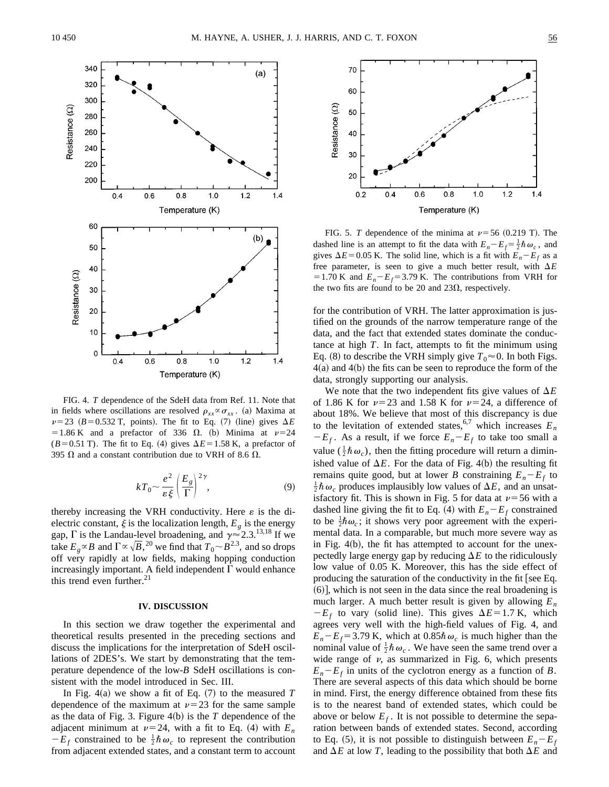

FIG. 4. *T* dependence of the SdeH data from Ref. 11. Note that in fields where oscillations are resolved  $\rho_{rr} \propto \sigma_{rr}$ . (a) Maxima at  $\nu=23$  ( $B=0.532$  T, points). The fit to Eq. (7) (line) gives  $\Delta E$ = 1.86 K and a prefactor of 336  $\Omega$ . (b) Minima at  $\nu=24$  $(B=0.51$  T). The fit to Eq. (4) gives  $\Delta E = 1.58$  K, a prefactor of 395  $\Omega$  and a constant contribution due to VRH of 8.6  $\Omega$ .

$$
kT_0 \sim \frac{e^2}{\varepsilon \xi} \left(\frac{E_g}{\Gamma}\right)^{2\gamma},\tag{9}
$$

thereby increasing the VRH conductivity. Here  $\varepsilon$  is the dielectric constant,  $\xi$  is the localization length,  $E_g$  is the energy gap,  $\Gamma$  is the Landau-level broadening, and  $\gamma \approx 2.3$ .<sup>13,18</sup> If we take  $E_g \propto B$  and  $\Gamma \propto \sqrt{B}$ , <sup>20</sup> we find that  $T_0 \sim B^{2.3}$ , and so drops off very rapidly at low fields, making hopping conduction increasingly important. A field independent  $\Gamma$  would enhance this trend even further. $21$ 

## **IV. DISCUSSION**

In this section we draw together the experimental and theoretical results presented in the preceding sections and discuss the implications for the interpretation of SdeH oscillations of 2DES's. We start by demonstrating that the temperature dependence of the low-*B* SdeH oscillations is consistent with the model introduced in Sec. III.

In Fig.  $4(a)$  we show a fit of Eq.  $(7)$  to the measured *T* dependence of the maximum at  $\nu=23$  for the same sample as the data of Fig. 3. Figure  $4(b)$  is the *T* dependence of the adjacent minimum at  $\nu=24$ , with a fit to Eq. (4) with  $E_n$  $-E_f$  constrained to be  $\frac{1}{2} \hbar \omega_c$  to represent the contribution from adjacent extended states, and a constant term to account



FIG. 5. *T* dependence of the minima at  $\nu$ =56 (0.219 T). The dashed line is an attempt to fit the data with  $E_n - E_f = \frac{1}{2} \hbar \omega_c$ , and gives  $\Delta E$ =0.05 K. The solid line, which is a fit with  $E_n - E_f$  as a free parameter, is seen to give a much better result, with  $\Delta E$  $=1.70$  K and  $E<sub>n</sub>-E<sub>f</sub>=3.79$  K. The contributions from VRH for the two fits are found to be 20 and 23 $\Omega$ , respectively.

for the contribution of VRH. The latter approximation is justified on the grounds of the narrow temperature range of the data, and the fact that extended states dominate the conductance at high *T*. In fact, attempts to fit the minimum using Eq. (8) to describe the VRH simply give  $T_0 \approx 0$ . In both Figs.  $4(a)$  and  $4(b)$  the fits can be seen to reproduce the form of the data, strongly supporting our analysis.

We note that the two independent fits give values of  $\Delta E$ of 1.86 K for  $\nu$ =23 and 1.58 K for  $\nu$ =24, a difference of about 18%. We believe that most of this discrepancy is due to the levitation of extended states,<sup>6,7</sup> which increases  $E_n$  $-E_f$ . As a result, if we force  $E_n - E_f$  to take too small a value  $(\frac{1}{2} \hbar \omega_c)$ , then the fitting procedure will return a diminished value of  $\Delta E$ . For the data of Fig. 4(b) the resulting fit remains quite good, but at lower *B* constraining  $E_n - E_f$  to  $\frac{1}{2} \hbar \omega_c$  produces implausibly low values of  $\Delta E$ , and an unsatisfactory fit. This is shown in Fig. 5 for data at  $\nu$ =56 with a dashed line giving the fit to Eq. (4) with  $E_n - E_f$  constrained to be  $\frac{1}{2}\hbar\omega_c$ ; it shows very poor agreement with the experimental data. In a comparable, but much more severe way as in Fig.  $4(b)$ , the fit has attempted to account for the unexpectedly large energy gap by reducing  $\Delta E$  to the ridiculously low value of 0.05 K. Moreover, this has the side effect of producing the saturation of the conductivity in the fit [see Eq.  $(6)$ , which is not seen in the data since the real broadening is much larger. A much better result is given by allowing  $E_n$  $-E_f$  to vary (solid line). This gives  $\Delta E$ =1.7 K, which agrees very well with the high-field values of Fig. 4, and  $E_n - E_f = 3.79$  K, which at  $0.85\hbar \omega_c$  is much higher than the nominal value of  $\frac{1}{2} \hbar \omega_c$ . We have seen the same trend over a wide range of  $\nu$ , as summarized in Fig. 6, which presents  $E_n - E_f$  in units of the cyclotron energy as a function of *B*. There are several aspects of this data which should be borne in mind. First, the energy difference obtained from these fits is to the nearest band of extended states, which could be above or below  $E_f$ . It is not possible to determine the separation between bands of extended states. Second, according to Eq. (5), it is not possible to distinguish between  $E_n - E_f$ and  $\Delta E$  at low *T*, leading to the possibility that both  $\Delta E$  and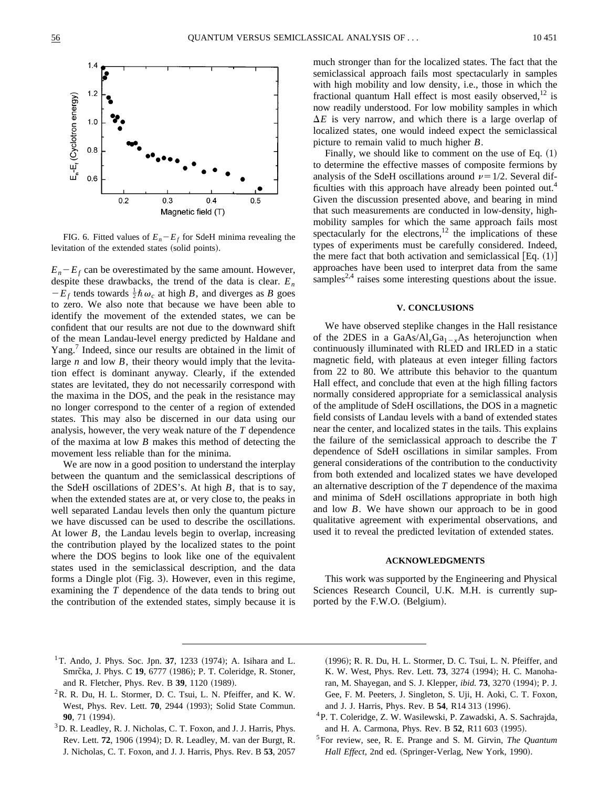

FIG. 6. Fitted values of  $E_n - E_f$  for SdeH minima revealing the levitation of the extended states (solid points).

 $E_n - E_f$  can be overestimated by the same amount. However, despite these drawbacks, the trend of the data is clear.  $E_n$  $-E_f$  tends towards  $\frac{1}{2} \hbar \omega_c$  at high *B*, and diverges as *B* goes to zero. We also note that because we have been able to identify the movement of the extended states, we can be confident that our results are not due to the downward shift of the mean Landau-level energy predicted by Haldane and Yang.<sup>7</sup> Indeed, since our results are obtained in the limit of large *n* and low *B*, their theory would imply that the levitation effect is dominant anyway. Clearly, if the extended states are levitated, they do not necessarily correspond with the maxima in the DOS, and the peak in the resistance may no longer correspond to the center of a region of extended states. This may also be discerned in our data using our analysis, however, the very weak nature of the *T* dependence of the maxima at low *B* makes this method of detecting the movement less reliable than for the minima.

We are now in a good position to understand the interplay between the quantum and the semiclassical descriptions of the SdeH oscillations of 2DES's. At high *B*, that is to say, when the extended states are at, or very close to, the peaks in well separated Landau levels then only the quantum picture we have discussed can be used to describe the oscillations. At lower *B*, the Landau levels begin to overlap, increasing the contribution played by the localized states to the point where the DOS begins to look like one of the equivalent states used in the semiclassical description, and the data forms a Dingle plot (Fig. 3). However, even in this regime, examining the *T* dependence of the data tends to bring out the contribution of the extended states, simply because it is much stronger than for the localized states. The fact that the semiclassical approach fails most spectacularly in samples with high mobility and low density, i.e., those in which the fractional quantum Hall effect is most easily observed,  $12$  is now readily understood. For low mobility samples in which  $\Delta E$  is very narrow, and which there is a large overlap of localized states, one would indeed expect the semiclassical picture to remain valid to much higher *B*.

Finally, we should like to comment on the use of Eq.  $(1)$ to determine the effective masses of composite fermions by analysis of the SdeH oscillations around  $\nu=1/2$ . Several difficulties with this approach have already been pointed out.<sup>4</sup> Given the discussion presented above, and bearing in mind that such measurements are conducted in low-density, highmobility samples for which the same approach fails most spectacularly for the electrons, $^{12}$  the implications of these types of experiments must be carefully considered. Indeed, the mere fact that both activation and semiclassical  $[Eq. (1)]$ approaches have been used to interpret data from the same samples<sup>2,4</sup> raises some interesting questions about the issue.

# **V. CONCLUSIONS**

We have observed steplike changes in the Hall resistance of the 2DES in a GaAs/Al<sub>x</sub>Ga<sub>1-x</sub>As heterojunction when continuously illuminated with RLED and IRLED in a static magnetic field, with plateaus at even integer filling factors from 22 to 80. We attribute this behavior to the quantum Hall effect, and conclude that even at the high filling factors normally considered appropriate for a semiclassical analysis of the amplitude of SdeH oscillations, the DOS in a magnetic field consists of Landau levels with a band of extended states near the center, and localized states in the tails. This explains the failure of the semiclassical approach to describe the *T* dependence of SdeH oscillations in similar samples. From general considerations of the contribution to the conductivity from both extended and localized states we have developed an alternative description of the *T* dependence of the maxima and minima of SdeH oscillations appropriate in both high and low *B*. We have shown our approach to be in good qualitative agreement with experimental observations, and used it to reveal the predicted levitation of extended states.

#### **ACKNOWLEDGMENTS**

This work was supported by the Engineering and Physical Sciences Research Council, U.K. M.H. is currently supported by the F.W.O. (Belgium).

- <sup>1</sup>T. Ando, J. Phys. Soc. Jpn. 37, 1233  $(1974)$ ; A. Isihara and L. Smrc̆ka, J. Phys. C 19, 6777 (1986); P. T. Coleridge, R. Stoner, and R. Fletcher, Phys. Rev. B 39, 1120 (1989).
- ${}^{2}$ R. R. Du, H. L. Stormer, D. C. Tsui, L. N. Pfeiffer, and K. W. West, Phys. Rev. Lett. **70**, 2944 (1993); Solid State Commun. **90**, 71 (1994).
- <sup>3</sup>D. R. Leadley, R. J. Nicholas, C. T. Foxon, and J. J. Harris, Phys. Rev. Lett. **72**, 1906 (1994); D. R. Leadley, M. van der Burgt, R. J. Nicholas, C. T. Foxon, and J. J. Harris, Phys. Rev. B **53**, 2057
- (1996); R. R. Du, H. L. Stormer, D. C. Tsui, L. N. Pfeiffer, and K. W. West, Phys. Rev. Lett. **73**, 3274 (1994); H. C. Manoharan, M. Shayegan, and S. J. Klepper, *ibid.* **73**, 3270 (1994); P. J. Gee, F. M. Peeters, J. Singleton, S. Uji, H. Aoki, C. T. Foxon, and J. J. Harris, Phys. Rev. B 54, R14 313 (1996).
- 4P. T. Coleridge, Z. W. Wasilewski, P. Zawadski, A. S. Sachrajda, and H. A. Carmona, Phys. Rev. B 52, R11 603 (1995).
- 5For review, see, R. E. Prange and S. M. Girvin, *The Quantum Hall Effect*, 2nd ed. (Springer-Verlag, New York, 1990).